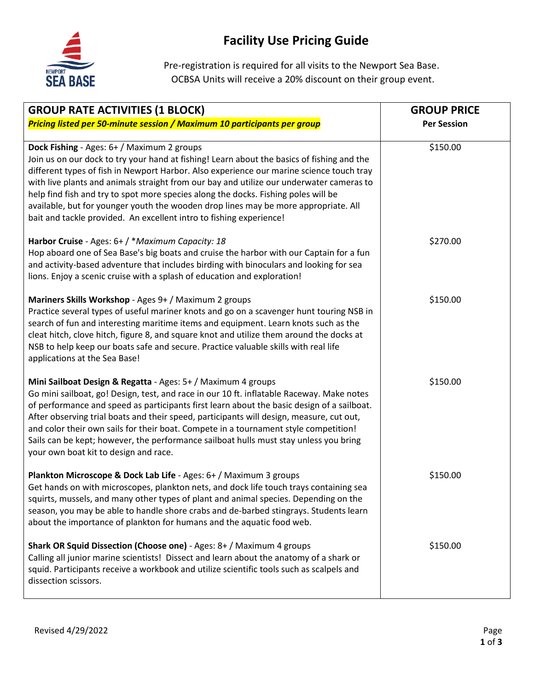

Pre-registration is required for all visits to the Newport Sea Base. OCBSA Units will receive a 20% discount on their group event.

| <b>GROUP RATE ACTIVITIES (1 BLOCK)</b>                                                                                                                                                                                                                                                                                                                                                                                                                                                                                                                                               | <b>GROUP PRICE</b> |
|--------------------------------------------------------------------------------------------------------------------------------------------------------------------------------------------------------------------------------------------------------------------------------------------------------------------------------------------------------------------------------------------------------------------------------------------------------------------------------------------------------------------------------------------------------------------------------------|--------------------|
| Pricing listed per 50-minute session / Maximum 10 participants per group                                                                                                                                                                                                                                                                                                                                                                                                                                                                                                             | <b>Per Session</b> |
| Dock Fishing - Ages: 6+ / Maximum 2 groups<br>Join us on our dock to try your hand at fishing! Learn about the basics of fishing and the<br>different types of fish in Newport Harbor. Also experience our marine science touch tray<br>with live plants and animals straight from our bay and utilize our underwater cameras to<br>help find fish and try to spot more species along the docks. Fishing poles will be<br>available, but for younger youth the wooden drop lines may be more appropriate. All<br>bait and tackle provided. An excellent intro to fishing experience! | \$150.00           |
| Harbor Cruise - Ages: 6+ / * Maximum Capacity: 18<br>Hop aboard one of Sea Base's big boats and cruise the harbor with our Captain for a fun<br>and activity-based adventure that includes birding with binoculars and looking for sea<br>lions. Enjoy a scenic cruise with a splash of education and exploration!                                                                                                                                                                                                                                                                   | \$270.00           |
| Mariners Skills Workshop - Ages 9+ / Maximum 2 groups<br>Practice several types of useful mariner knots and go on a scavenger hunt touring NSB in<br>search of fun and interesting maritime items and equipment. Learn knots such as the<br>cleat hitch, clove hitch, figure 8, and square knot and utilize them around the docks at<br>NSB to help keep our boats safe and secure. Practice valuable skills with real life<br>applications at the Sea Base!                                                                                                                         | \$150.00           |
| Mini Sailboat Design & Regatta - Ages: 5+ / Maximum 4 groups<br>Go mini sailboat, go! Design, test, and race in our 10 ft. inflatable Raceway. Make notes<br>of performance and speed as participants first learn about the basic design of a sailboat.<br>After observing trial boats and their speed, participants will design, measure, cut out,<br>and color their own sails for their boat. Compete in a tournament style competition!<br>Sails can be kept; however, the performance sailboat hulls must stay unless you bring<br>your own boat kit to design and race.        | \$150.00           |
| Plankton Microscope & Dock Lab Life - Ages: 6+ / Maximum 3 groups<br>Get hands on with microscopes, plankton nets, and dock life touch trays containing sea<br>squirts, mussels, and many other types of plant and animal species. Depending on the<br>season, you may be able to handle shore crabs and de-barbed stingrays. Students learn<br>about the importance of plankton for humans and the aquatic food web.                                                                                                                                                                | \$150.00           |
| Shark OR Squid Dissection (Choose one) - Ages: 8+ / Maximum 4 groups<br>Calling all junior marine scientists! Dissect and learn about the anatomy of a shark or<br>squid. Participants receive a workbook and utilize scientific tools such as scalpels and<br>dissection scissors.                                                                                                                                                                                                                                                                                                  | \$150.00           |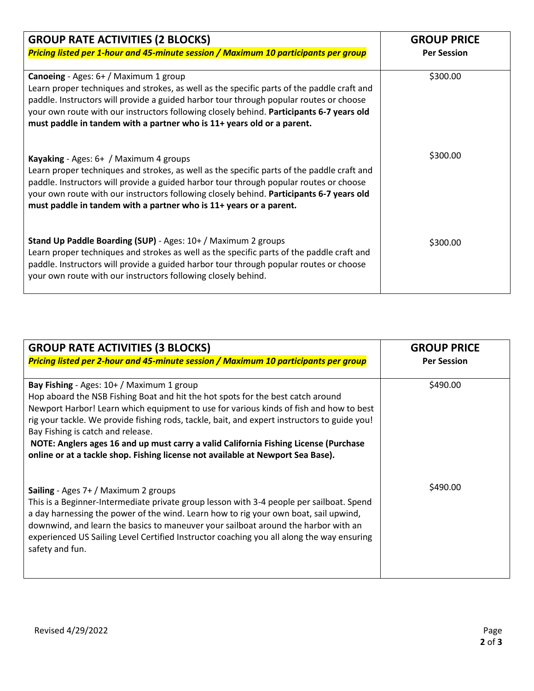| <b>GROUP RATE ACTIVITIES (2 BLOCKS)</b>                                                                                                                                                                                                                                                                                                                                                                    | <b>GROUP PRICE</b> |
|------------------------------------------------------------------------------------------------------------------------------------------------------------------------------------------------------------------------------------------------------------------------------------------------------------------------------------------------------------------------------------------------------------|--------------------|
| Pricing listed per 1-hour and 45-minute session / Maximum 10 participants per group                                                                                                                                                                                                                                                                                                                        | <b>Per Session</b> |
| <b>Canoeing</b> - Ages: 6+ / Maximum 1 group<br>Learn proper techniques and strokes, as well as the specific parts of the paddle craft and<br>paddle. Instructors will provide a guided harbor tour through popular routes or choose<br>your own route with our instructors following closely behind. Participants 6-7 years old<br>must paddle in tandem with a partner who is 11+ years old or a parent. | \$300.00           |
| Kayaking - Ages: 6+ / Maximum 4 groups<br>Learn proper techniques and strokes, as well as the specific parts of the paddle craft and<br>paddle. Instructors will provide a guided harbor tour through popular routes or choose<br>your own route with our instructors following closely behind. Participants 6-7 years old<br>must paddle in tandem with a partner who is 11+ years or a parent.           | \$300.00           |
| Stand Up Paddle Boarding (SUP) - Ages: 10+ / Maximum 2 groups<br>Learn proper techniques and strokes as well as the specific parts of the paddle craft and<br>paddle. Instructors will provide a guided harbor tour through popular routes or choose<br>your own route with our instructors following closely behind.                                                                                      | \$300.00           |

| <b>GROUP RATE ACTIVITIES (3 BLOCKS)</b>                                                                                                                                          | <b>GROUP PRICE</b> |
|----------------------------------------------------------------------------------------------------------------------------------------------------------------------------------|--------------------|
| Pricing listed per 2-hour and 45-minute session / Maximum 10 participants per group                                                                                              | <b>Per Session</b> |
|                                                                                                                                                                                  |                    |
| <b>Bay Fishing</b> - Ages: $10+ /$ Maximum 1 group                                                                                                                               | \$490.00           |
| Hop aboard the NSB Fishing Boat and hit the hot spots for the best catch around                                                                                                  |                    |
| Newport Harbor! Learn which equipment to use for various kinds of fish and how to best                                                                                           |                    |
| rig your tackle. We provide fishing rods, tackle, bait, and expert instructors to guide you!<br>Bay Fishing is catch and release.                                                |                    |
| NOTE: Anglers ages 16 and up must carry a valid California Fishing License (Purchase                                                                                             |                    |
| online or at a tackle shop. Fishing license not available at Newport Sea Base).                                                                                                  |                    |
|                                                                                                                                                                                  |                    |
|                                                                                                                                                                                  | \$490.00           |
| <b>Sailing</b> - Ages $7+ /$ Maximum 2 groups                                                                                                                                    |                    |
| This is a Beginner-Intermediate private group lesson with 3-4 people per sailboat. Spend<br>a day harnessing the power of the wind. Learn how to rig your own boat, sail upwind, |                    |
| downwind, and learn the basics to maneuver your sailboat around the harbor with an                                                                                               |                    |
| experienced US Sailing Level Certified Instructor coaching you all along the way ensuring                                                                                        |                    |
| safety and fun.                                                                                                                                                                  |                    |
|                                                                                                                                                                                  |                    |
|                                                                                                                                                                                  |                    |